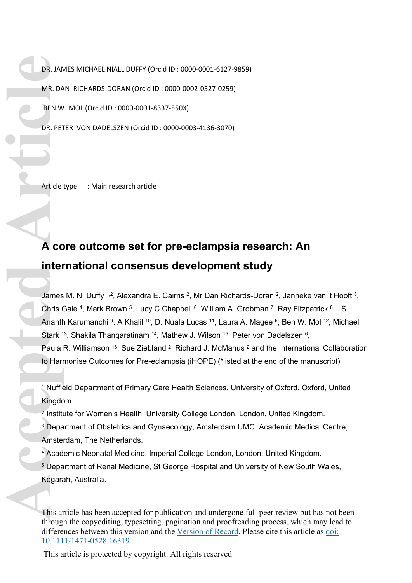DR. JAMES MICHAEL NIALL DUFFY (Orcid ID : 0000-0001-6127-9859) MR. DAN RICHARDS-DORAN (Orcid ID : 0000-0002-0527-0259) BEN WJ MOL (Orcid ID : 0000-0001-8337-550X) DR. PETER VON DADELSZEN (Orcid ID : 0000-0003-4136-3070) **Accession**<br> **Accession**<br> **Accession**<br> **Accession**<br> **Accession**<br> **Accession**<br> **Accession**<br> **Accession**<br> **Accession**<br> **Accession**<br> **Accession**<br> **Accession**<br> **Accession**<br> **Accession**<br> **Accession**<br> **Accession**<br> **Accession**<br>

Article type : Main research article

# **A core outcome set for pre-eclampsia research: An international consensus development study**

James M. N. Duffy <sup>1,2</sup>, Alexandra E. Cairns <sup>2</sup>, Mr Dan Richards-Doran <sup>2</sup>, Janneke van 't Hooft <sup>3</sup>, Chris Gale 4, Mark Brown <sup>5</sup>, Lucy C Chappell <sup>6</sup>, William A. Grobman <sup>7</sup>, Ray Fitzpatrick <sup>8</sup>, S. Ananth Karumanchi <sup>9</sup>, A Khalil <sup>10</sup>, D. Nuala Lucas <sup>11</sup>, Laura A. Magee <sup>6</sup>, Ben W. Mol <sup>12</sup>, Michael Stark <sup>13</sup>, Shakila Thangaratinam <sup>14</sup>, Mathew J. Wilson <sup>15</sup>, Peter von Dadelszen <sup>6</sup>, Paula R. Williamson <sup>16</sup>, Sue Ziebland <sup>2</sup>, Richard J. McManus <sup>2</sup> and the International Collaboration to Harmonise Outcomes for Pre-eclampsia (iHOPE) (\*listed at the end of the manuscript)

<sup>1</sup> Nuffield Department of Primary Care Health Sciences, University of Oxford, Oxford, United Kingdom.

2 Institute for Women's Health, University College London, London, United Kingdom.

<sup>3</sup> Department of Obstetrics and Gynaecology, Amsterdam UMC, Academic Medical Centre, Amsterdam, The Netherlands.

4 Academic Neonatal Medicine, Imperial College London, London, United Kingdom. <sup>5</sup> Department of Renal Medicine, St George Hospital and University of New South Wales, Kogarah, Australia.

This article has been accepted for publication and undergone full peer review but has not been through the copyediting, typesetting, pagination and proofreading process, which may lead to differences between this version and the [Version of Record.](https://doi.org/10.1111/1471-0528.16319) Please cite this article as [doi:](https://doi.org/10.1111/1471-0528.16319)  [10.1111/1471-0528.16319](https://doi.org/10.1111/1471-0528.16319)

This article is protected by copyright. All rights reserved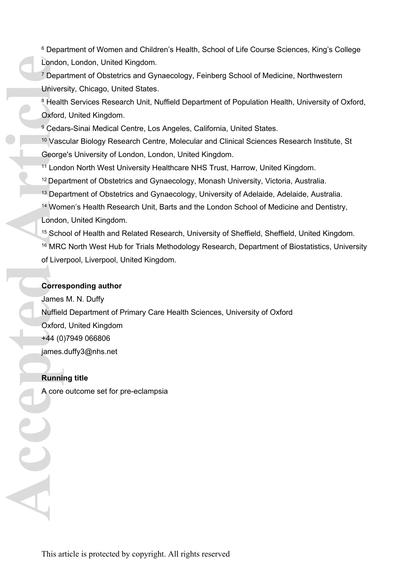<sup>6</sup> Department of Women and Children's Health, School of Life Course Sciences, King's College London, London, United Kingdom.

<sup>7</sup> Department of Obstetrics and Gynaecology, Feinberg School of Medicine, Northwestern University, Chicago, United States.

<sup>8</sup> Health Services Research Unit, Nuffield Department of Population Health, University of Oxford, Oxford, United Kingdom.

<sup>9</sup> Cedars-Sinai Medical Centre, Los Angeles, California, United States.

<sup>10</sup> Vascular Biology Research Centre, Molecular and Clinical Sciences Research Institute, St George's University of London, London, United Kingdom.

<sup>11</sup> London North West University Healthcare NHS Trust, Harrow, United Kingdom.

<sup>12</sup> Department of Obstetrics and Gynaecology, Monash University, Victoria, Australia.

<sup>13</sup> Department of Obstetrics and Gynaecology, University of Adelaide, Adelaide, Australia.

<sup>14</sup> Women's Health Research Unit, Barts and the London School of Medicine and Dentistry, London, United Kingdom.

<sup>15</sup> School of Health and Related Research, University of Sheffield, Sheffield, United Kingdom. <sup>16</sup> MRC North West Hub for Trials Methodology Research, Department of Biostatistics, University of Liverpool, Liverpool, United Kingdom.

#### **Corresponding author**

James M. N. Duffy Nuffield Department of Primary Care Health Sciences, University of Oxford Oxford, United Kingdom +44 (0)7949 066806 james.duffy3@nhs.net London<br>
<sup>7</sup> Depa<br>
Univer<br>
<sup>8</sup> Healt<br>
Oxford<br>
9 Ceda<br>
<sup>10</sup> Vasc<br>
Georg<br>
<sup>11</sup> London<br>
<sup>12</sup> Depa<br>
<sup>14</sup> Won<br>
<sup>14</sup> Won<br>
<sup>15</sup> Sch<br>
<sup>16</sup> MR(<br>
of Live<br>
Oxford<br>
+44 (0<br>
James<br>
Nuffiel<br>
Oxford<br>
+44 (0<br>
James<br>
Nuffiel<br>
A corres<br> **Run** 

### **Running title**

A core outcome set for pre-eclampsia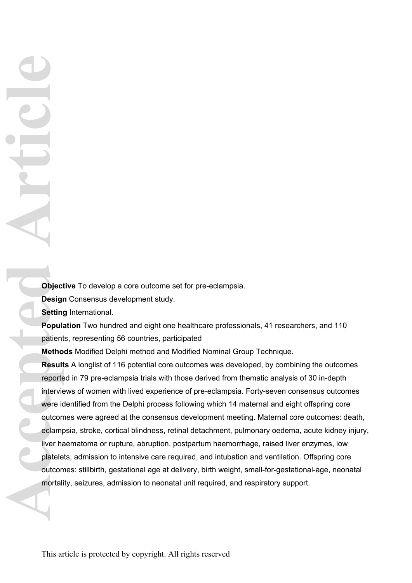**Accepted Article**<br> **Accepted Article**<br> **Accepted Article**<br> **Accepted Article**<br> **Accepted Article**<br> **Accepted Article**<br> **Accepted Article**<br> **Accepted Article**<br> **Accepted Article**<br> **Accepted Article**<br> **Accepted Article**<br> **A** 

**Objective** To develop a core outcome set for pre-eclampsia.

**Design** Consensus development study.

**Setting** International.

**Population** Two hundred and eight one healthcare professionals, 41 researchers, and 110 patients, representing 56 countries, participated

**Methods** Modified Delphi method and Modified Nominal Group Technique.

**Results** A longlist of 116 potential core outcomes was developed, by combining the outcomes reported in 79 pre-eclampsia trials with those derived from thematic analysis of 30 in-depth interviews of women with lived experience of pre-eclampsia. Forty-seven consensus outcomes were identified from the Delphi process following which 14 maternal and eight offspring core outcomes were agreed at the consensus development meeting. Maternal core outcomes: death, eclampsia, stroke, cortical blindness, retinal detachment, pulmonary oedema, acute kidney injury, liver haematoma or rupture, abruption, postpartum haemorrhage, raised liver enzymes, low platelets, admission to intensive care required, and intubation and ventilation. Offspring core outcomes: stillbirth, gestational age at delivery, birth weight, small-for-gestational-age, neonatal mortality, seizures, admission to neonatal unit required, and respiratory support.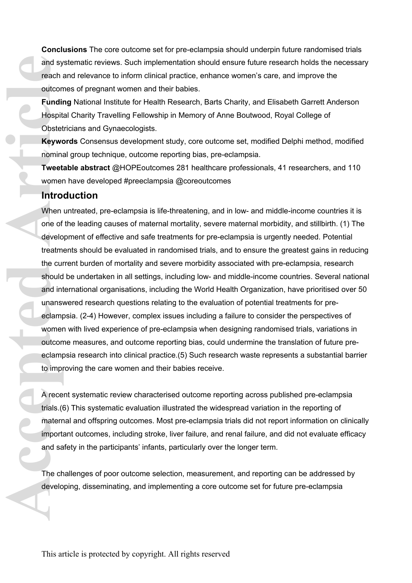**Conclusions** The core outcome set for pre-eclampsia should underpin future randomised trials and systematic reviews. Such implementation should ensure future research holds the necessary reach and relevance to inform clinical practice, enhance women's care, and improve the outcomes of pregnant women and their babies.

**Funding** National Institute for Health Research, Barts Charity, and Elisabeth Garrett Anderson Hospital Charity Travelling Fellowship in Memory of Anne Boutwood, Royal College of Obstetricians and Gynaecologists.

**Keywords** Consensus development study, core outcome set, modified Delphi method, modified nominal group technique, outcome reporting bias, pre-eclampsia.

**Tweetable abstract** @HOPEoutcomes 281 healthcare professionals, 41 researchers, and 110 women have developed #preeclampsia @coreoutcomes

## **Introduction**

When untreated, pre-eclampsia is life-threatening, and in low- and middle-income countries it is one of the leading causes of maternal mortality, severe maternal morbidity, and stillbirth. (1) The development of effective and safe treatments for pre-eclampsia is urgently needed. Potential treatments should be evaluated in randomised trials, and to ensure the greatest gains in reducing the current burden of mortality and severe morbidity associated with pre-eclampsia, research should be undertaken in all settings, including low- and middle-income countries. Several national and international organisations, including the World Health Organization, have prioritised over 50 unanswered research questions relating to the evaluation of potential treatments for preeclampsia. (2-4) However, complex issues including a failure to consider the perspectives of women with lived experience of pre-eclampsia when designing randomised trials, variations in outcome measures, and outcome reporting bias, could undermine the translation of future preeclampsia research into clinical practice.(5) Such research waste represents a substantial barrier to improving the care women and their babies receive. and sy<br>
reach is<br>
outcom<br>
Fundin<br>
Hospit<br>
Obstet<br> **Keyword nomina**<br>
Tweet<br>
womer<br>
Intro<br>
When<br>
one of<br>
develo<br>
treatm<br>
the cund and inf<br>
unansy<br>
eclamp<br>
womer<br>
outcom<br>
eclamp<br>
to imply<br>
A rece<br>
trials.((<br>
materr<br>
to imply<br>

A recent systematic review characterised outcome reporting across published pre-eclampsia trials.(6) This systematic evaluation illustrated the widespread variation in the reporting of maternal and offspring outcomes. Most pre-eclampsia trials did not report information on clinically important outcomes, including stroke, liver failure, and renal failure, and did not evaluate efficacy and safety in the participants' infants, particularly over the longer term.

The challenges of poor outcome selection, measurement, and reporting can be addressed by developing, disseminating, and implementing a core outcome set for future pre-eclampsia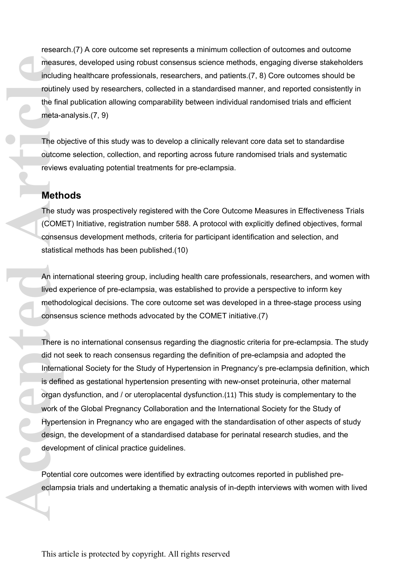research.(7) A core outcome set represents a minimum collection of outcomes and outcome measures, developed using robust consensus science methods, engaging diverse stakeholders including healthcare professionals, researchers, and patients.(7, 8) Core outcomes should be routinely used by researchers, collected in a standardised manner, and reported consistently in the final publication allowing comparability between individual randomised trials and efficient meta-analysis.(7, 9)

The objective of this study was to develop a clinically relevant core data set to standardise outcome selection, collection, and reporting across future randomised trials and systematic reviews evaluating potential treatments for pre-eclampsia.

# **Methods**

The study was prospectively registered with the Core Outcome Measures in Effectiveness Trials (COMET) Initiative, registration number 588. A protocol with explicitly defined objectives, formal consensus development methods, criteria for participant identification and selection, and statistical methods has been published.(10)

An international steering group, including health care professionals, researchers, and women with lived experience of pre-eclampsia, was established to provide a perspective to inform key methodological decisions. The core outcome set was developed in a three-stage process using consensus science methods advocated by the COMET initiative.(7)

There is no international consensus regarding the diagnostic criteria for pre-eclampsia. The study did not seek to reach consensus regarding the definition of pre-eclampsia and adopted the International Society for the Study of Hypertension in Pregnancy's pre-eclampsia definition, which is defined as gestational hypertension presenting with new-onset proteinuria, other maternal organ dysfunction, and / or uteroplacental dysfunction.(11) This study is complementary to the work of the Global Pregnancy Collaboration and the International Society for the Study of Hypertension in Pregnancy who are engaged with the standardisation of other aspects of study design, the development of a standardised database for perinatal research studies, and the development of clinical practice guidelines. **Access to the final properties of the final properties of the state of the state of the state of the state of the state of the state of the method conser statistic An internal is defining in development of the method inte** 

Potential core outcomes were identified by extracting outcomes reported in published preeclampsia trials and undertaking a thematic analysis of in-depth interviews with women with lived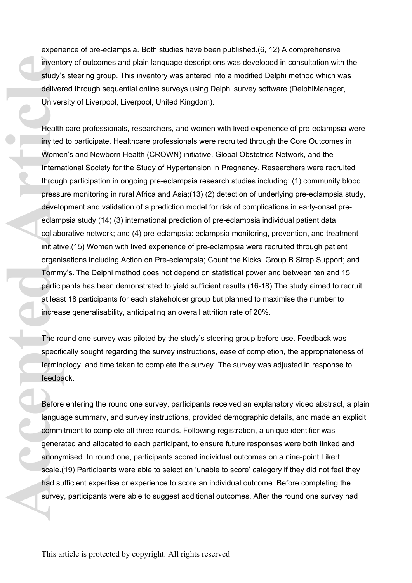experience of pre-eclampsia. Both studies have been published.(6, 12) A comprehensive inventory of outcomes and plain language descriptions was developed in consultation with the study's steering group. This inventory was entered into a modified Delphi method which was delivered through sequential online surveys using Delphi survey software (DelphiManager, University of Liverpool, Liverpool, United Kingdom).

Health care professionals, researchers, and women with lived experience of pre-eclampsia were invited to participate. Healthcare professionals were recruited through the Core Outcomes in Women's and Newborn Health (CROWN) initiative, Global Obstetrics Network, and the International Society for the Study of Hypertension in Pregnancy. Researchers were recruited through participation in ongoing pre-eclampsia research studies including: (1) community blood pressure monitoring in rural Africa and Asia;(13) (2) detection of underlying pre-eclampsia study, development and validation of a prediction model for risk of complications in early-onset preeclampsia study;(14) (3) international prediction of pre-eclampsia individual patient data collaborative network; and (4) pre-eclampsia: eclampsia monitoring, prevention, and treatment initiative.(15) Women with lived experience of pre-eclampsia were recruited through patient organisations including Action on Pre-eclampsia; Count the Kicks; Group B Strep Support; and Tommy's. The Delphi method does not depend on statistical power and between ten and 15 participants has been demonstrated to yield sufficient results.(16-18) The study aimed to recruit at least 18 participants for each stakeholder group but planned to maximise the number to increase generalisability, anticipating an overall attrition rate of 20%.

The round one survey was piloted by the study's steering group before use. Feedback was specifically sought regarding the survey instructions, ease of completion, the appropriateness of terminology, and time taken to complete the survey. The survey was adjusted in response to feedback.

Before entering the round one survey, participants received an explanatory video abstract, a plain language summary, and survey instructions, provided demographic details, and made an explicit commitment to complete all three rounds. Following registration, a unique identifier was generated and allocated to each participant, to ensure future responses were both linked and anonymised. In round one, participants scored individual outcomes on a nine-point Likert scale.(19) Participants were able to select an 'unable to score' category if they did not feel they had sufficient expertise or experience to score an individual outcome. Before completing the survey, participants were able to suggest additional outcomes. After the round one survey had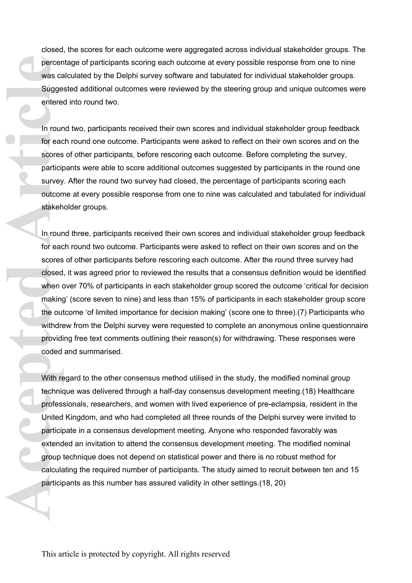closed, the scores for each outcome were aggregated across individual stakeholder groups. The percentage of participants scoring each outcome at every possible response from one to nine was calculated by the Delphi survey software and tabulated for individual stakeholder groups. Suggested additional outcomes were reviewed by the steering group and unique outcomes were entered into round two.

In round two, participants received their own scores and individual stakeholder group feedback for each round one outcome. Participants were asked to reflect on their own scores and on the scores of other participants, before rescoring each outcome. Before completing the survey, participants were able to score additional outcomes suggested by participants in the round one survey. After the round two survey had closed, the percentage of participants scoring each outcome at every possible response from one to nine was calculated and tabulated for individual stakeholder groups.

In round three, participants received their own scores and individual stakeholder group feedback for each round two outcome. Participants were asked to reflect on their own scores and on the scores of other participants before rescoring each outcome. After the round three survey had closed, it was agreed prior to reviewed the results that a consensus definition would be identified when over 70% of participants in each stakeholder group scored the outcome 'critical for decision making' (score seven to nine) and less than 15% of participants in each stakeholder group score the outcome 'of limited importance for decision making' (score one to three).(7) Participants who withdrew from the Delphi survey were requested to complete an anonymous online questionnaire providing free text comments outlining their reason(s) for withdrawing. These responses were coded and summarised. percer<br>
was ca<br>
Sugge<br>
entere<br>
In rour<br>
for eac<br>
scores<br>
particit<br>
survey<br>
outcon<br>
stakeh<br>
In rour<br>
for eac<br>
scores<br>
closed<br>
when c<br>
making<br>
the out<br>
withdre<br>
providi<br>
coded<br>
With re<br>
providi<br>
coded<br>
With re<br>
providi<br>
code

With regard to the other consensus method utilised in the study, the modified nominal group technique was delivered through a half-day consensus development meeting.(18) Healthcare professionals, researchers, and women with lived experience of pre-eclampsia, resident in the United Kingdom, and who had completed all three rounds of the Delphi survey were invited to participate in a consensus development meeting. Anyone who responded favorably was extended an invitation to attend the consensus development meeting. The modified nominal group technique does not depend on statistical power and there is no robust method for calculating the required number of participants. The study aimed to recruit between ten and 15 participants as this number has assured validity in other settings.(18, 20)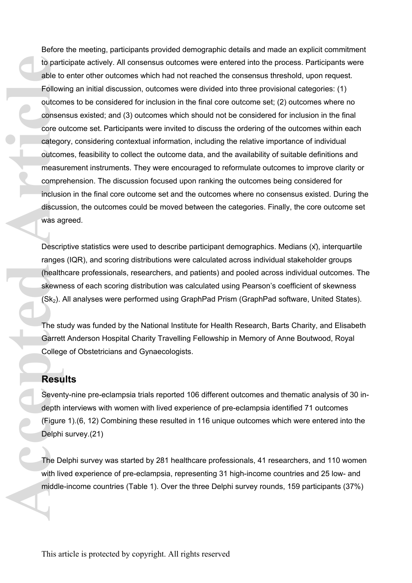Before the meeting, participants provided demographic details and made an explicit commitment to participate actively. All consensus outcomes were entered into the process. Participants were able to enter other outcomes which had not reached the consensus threshold, upon request. Following an initial discussion, outcomes were divided into three provisional categories: (1) outcomes to be considered for inclusion in the final core outcome set; (2) outcomes where no consensus existed; and (3) outcomes which should not be considered for inclusion in the final core outcome set. Participants were invited to discuss the ordering of the outcomes within each category, considering contextual information, including the relative importance of individual outcomes, feasibility to collect the outcome data, and the availability of suitable definitions and measurement instruments. They were encouraged to reformulate outcomes to improve clarity or comprehension. The discussion focused upon ranking the outcomes being considered for inclusion in the final core outcome set and the outcomes where no consensus existed. During the discussion, the outcomes could be moved between the categories. Finally, the core outcome set was agreed. **Acception 1999**<br> **Accepted Article**<br> **Accepted Articles**<br> **Accepted Articles**<br> **Accepted Articles**<br> **Accepted Articles**<br> **Accepted Articles**<br> **Accepted Articles**<br> **Accepted Articles**<br> **Accepted Articles**<br> **Accepted Articl** 

Descriptive statistics were used to describe participant demographics. Medians (x͂), interquartile ranges (IQR), and scoring distributions were calculated across individual stakeholder groups (healthcare professionals, researchers, and patients) and pooled across individual outcomes. The skewness of each scoring distribution was calculated using Pearson's coefficient of skewness (Sk2). All analyses were performed using GraphPad Prism (GraphPad software, United States).

The study was funded by the National Institute for Health Research, Barts Charity, and Elisabeth Garrett Anderson Hospital Charity Travelling Fellowship in Memory of Anne Boutwood, Royal College of Obstetricians and Gynaecologists.

# **Results**

Seventy-nine pre-eclampsia trials reported 106 different outcomes and thematic analysis of 30 indepth interviews with women with lived experience of pre-eclampsia identified 71 outcomes (Figure 1).(6, 12) Combining these resulted in 116 unique outcomes which were entered into the Delphi survey.(21)

The Delphi survey was started by 281 healthcare professionals, 41 researchers, and 110 women with lived experience of pre-eclampsia, representing 31 high-income countries and 25 low- and middle-income countries (Table 1). Over the three Delphi survey rounds, 159 participants (37%)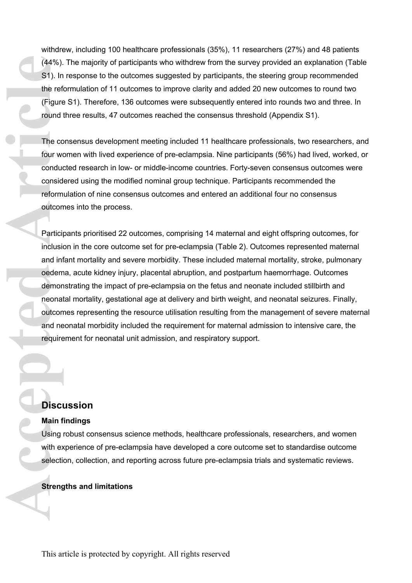withdrew, including 100 healthcare professionals (35%), 11 researchers (27%) and 48 patients (44%). The majority of participants who withdrew from the survey provided an explanation (Table S1). In response to the outcomes suggested by participants, the steering group recommended the reformulation of 11 outcomes to improve clarity and added 20 new outcomes to round two (Figure S1). Therefore, 136 outcomes were subsequently entered into rounds two and three. In round three results, 47 outcomes reached the consensus threshold (Appendix S1).

The consensus development meeting included 11 healthcare professionals, two researchers, and four women with lived experience of pre-eclampsia. Nine participants (56%) had lived, worked, or conducted research in low- or middle-income countries. Forty-seven consensus outcomes were considered using the modified nominal group technique. Participants recommended the reformulation of nine consensus outcomes and entered an additional four no consensus outcomes into the process.

Participants prioritised 22 outcomes, comprising 14 maternal and eight offspring outcomes, for inclusion in the core outcome set for pre-eclampsia (Table 2). Outcomes represented maternal and infant mortality and severe morbidity. These included maternal mortality, stroke, pulmonary oedema, acute kidney injury, placental abruption, and postpartum haemorrhage. Outcomes demonstrating the impact of pre-eclampsia on the fetus and neonate included stillbirth and neonatal mortality, gestational age at delivery and birth weight, and neonatal seizures. Finally, outcomes representing the resource utilisation resulting from the management of severe maternal and neonatal morbidity included the requirement for maternal admission to intensive care, the requirement for neonatal unit admission, and respiratory support. (44%).<br>
S1). In<br>
the ref<br>
(Figure<br>
round<br>
The cc<br>
four we<br>
conduc<br>
consid<br>
reform<br>
outcon<br>
Particil<br>
inclusive<br>
and inforement<br>
deter<br>
demon<br>
and ne require<br>
demon<br>
and ne require<br> **Discl<br>
Main f**<br>
Using<br>
with ex<br>
selectiv

# **Discussion**

#### **Main findings**

Using robust consensus science methods, healthcare professionals, researchers, and women with experience of pre-eclampsia have developed a core outcome set to standardise outcome selection, collection, and reporting across future pre-eclampsia trials and systematic reviews.

#### **Strengths and limitations**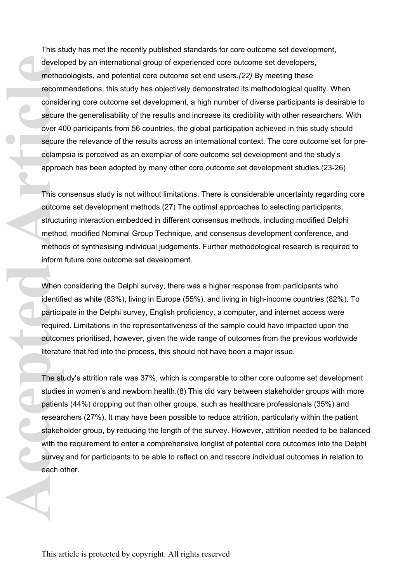This study has met the recently published standards for core outcome set development, developed by an international group of experienced core outcome set developers, methodologists, and potential core outcome set end users.*(22)* By meeting these recommendations, this study has objectively demonstrated its methodological quality. When considering core outcome set development, a high number of diverse participants is desirable to secure the generalisability of the results and increase its credibility with other researchers. With over 400 participants from 56 countries, the global participation achieved in this study should secure the relevance of the results across an international context. The core outcome set for preeclampsia is perceived as an exemplar of core outcome set development and the study's approach has been adopted by many other core outcome set development studies.(23-26) develo<br>
method<br>
recomm<br>
consid<br>
secure<br>
eclamp<br>
approach<br>
This coutcomm<br>
structure<br>
method<br>
inform<br>
When<br>
identificant<br>
particity<br>
require<br>
outconmethod<br>
inform<br>
When<br>
identificant<br>
particity<br>
cutoon<br>
literature<br>
The studi

This consensus study is not without limitations. There is considerable uncertainty regarding core outcome set development methods.(27) The optimal approaches to selecting participants, structuring interaction embedded in different consensus methods, including modified Delphi method, modified Nominal Group Technique, and consensus development conference, and methods of synthesising individual judgements. Further methodological research is required to inform future core outcome set development.

When considering the Delphi survey, there was a higher response from participants who identified as white (83%), living in Europe (55%), and living in high-income countries (82%). To participate in the Delphi survey, English proficiency, a computer, and internet access were required. Limitations in the representativeness of the sample could have impacted upon the outcomes prioritised, however, given the wide range of outcomes from the previous worldwide literature that fed into the process, this should not have been a major issue.

The study's attrition rate was 37%, which is comparable to other core outcome set development studies in women's and newborn health.(8) This did vary between stakeholder groups with more patients (44%) dropping out than other groups, such as healthcare professionals (35%) and researchers (27%). It may have been possible to reduce attrition, particularly within the patient stakeholder group, by reducing the length of the survey. However, attrition needed to be balanced with the requirement to enter a comprehensive longlist of potential core outcomes into the Delphi survey and for participants to be able to reflect on and rescore individual outcomes in relation to each other.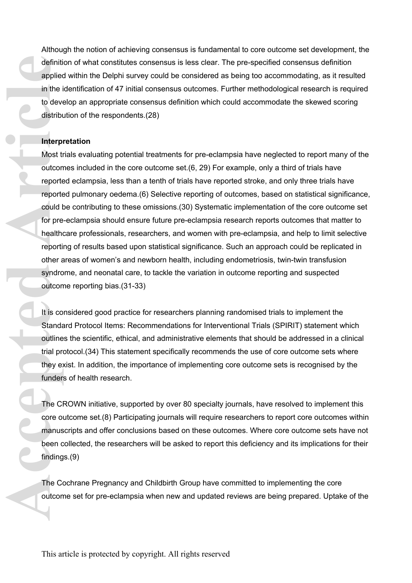Although the notion of achieving consensus is fundamental to core outcome set development, the definition of what constitutes consensus is less clear. The pre-specified consensus definition applied within the Delphi survey could be considered as being too accommodating, as it resulted in the identification of 47 initial consensus outcomes. Further methodological research is required to develop an appropriate consensus definition which could accommodate the skewed scoring distribution of the respondents.(28)

#### **Interpretation**

Most trials evaluating potential treatments for pre-eclampsia have neglected to report many of the outcomes included in the core outcome set.(6, 29) For example, only a third of trials have reported eclampsia, less than a tenth of trials have reported stroke, and only three trials have reported pulmonary oedema.(6) Selective reporting of outcomes, based on statistical significance, could be contributing to these omissions.(30) Systematic implementation of the core outcome set for pre-eclampsia should ensure future pre-eclampsia research reports outcomes that matter to healthcare professionals, researchers, and women with pre-eclampsia, and help to limit selective reporting of results based upon statistical significance. Such an approach could be replicated in other areas of women's and newborn health, including endometriosis, twin-twin transfusion syndrome, and neonatal care, to tackle the variation in outcome reporting and suspected outcome reporting bias.(31-33) definiti<br>
applied<br>
in the identical<br>
to devert distributed that the ports<br> **Acception of the standard outcon**<br>
reports<br>
for pre<br>
althe report<br>
outcon<br>
the report<br>
outcon<br>
It is co<br>
Standard outline<br>
trial pre<br>
they ex<br>
fun

It is considered good practice for researchers planning randomised trials to implement the Standard Protocol Items: Recommendations for Interventional Trials (SPIRIT) statement which outlines the scientific, ethical, and administrative elements that should be addressed in a clinical trial protocol.(34) This statement specifically recommends the use of core outcome sets where they exist. In addition, the importance of implementing core outcome sets is recognised by the funders of health research.

The CROWN initiative, supported by over 80 specialty journals, have resolved to implement this core outcome set.(8) Participating journals will require researchers to report core outcomes within manuscripts and offer conclusions based on these outcomes. Where core outcome sets have not been collected, the researchers will be asked to report this deficiency and its implications for their findings.(9)

The Cochrane Pregnancy and Childbirth Group have committed to implementing the core outcome set for pre-eclampsia when new and updated reviews are being prepared. Uptake of the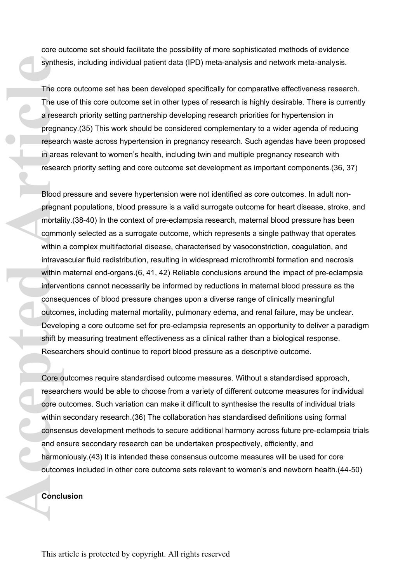core outcome set should facilitate the possibility of more sophisticated methods of evidence synthesis, including individual patient data (IPD) meta-analysis and network meta-analysis.

The core outcome set has been developed specifically for comparative effectiveness research. The use of this core outcome set in other types of research is highly desirable. There is currently a research priority setting partnership developing research priorities for hypertension in pregnancy.(35) This work should be considered complementary to a wider agenda of reducing research waste across hypertension in pregnancy research. Such agendas have been proposed in areas relevant to women's health, including twin and multiple pregnancy research with research priority setting and core outcome set development as important components.(36, 37)

Blood pressure and severe hypertension were not identified as core outcomes. In adult nonpregnant populations, blood pressure is a valid surrogate outcome for heart disease, stroke, and mortality.(38-40) In the context of pre-eclampsia research, maternal blood pressure has been commonly selected as a surrogate outcome, which represents a single pathway that operates within a complex multifactorial disease, characterised by vasoconstriction, coagulation, and intravascular fluid redistribution, resulting in widespread microthrombi formation and necrosis within maternal end-organs.(6, 41, 42) Reliable conclusions around the impact of pre-eclampsia interventions cannot necessarily be informed by reductions in maternal blood pressure as the consequences of blood pressure changes upon a diverse range of clinically meaningful outcomes, including maternal mortality, pulmonary edema, and renal failure, may be unclear. Developing a core outcome set for pre-eclampsia represents an opportunity to deliver a paradigm shift by measuring treatment effectiveness as a clinical rather than a biological response. Researchers should continue to report blood pressure as a descriptive outcome. synthe<br>
The cc<br>
The us<br>
a resear<br>
pregna<br>
resear<br>
in area<br>
resear<br>
Blood<br>
pregna<br>
mortali<br>
comme within<br>
intrava<br>
within<br>
intrava<br>
within<br>
intrava<br>
within<br>
intrava<br>
within<br>
interve<br>
conser<br>
outcon<br>
Develc<br>
shift by<br>
Resea<br>

Core outcomes require standardised outcome measures. Without a standardised approach, researchers would be able to choose from a variety of different outcome measures for individual core outcomes. Such variation can make it difficult to synthesise the results of individual trials within secondary research.(36) The collaboration has standardised definitions using formal consensus development methods to secure additional harmony across future pre-eclampsia trials and ensure secondary research can be undertaken prospectively, efficiently, and harmoniously.(43) It is intended these consensus outcome measures will be used for core outcomes included in other core outcome sets relevant to women's and newborn health.(44-50)

#### **Conclusion**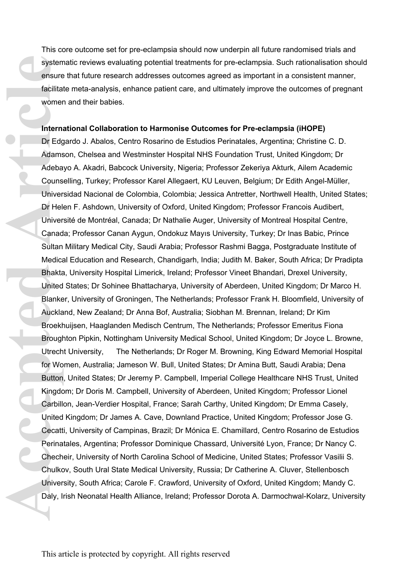This core outcome set for pre-eclampsia should now underpin all future randomised trials and systematic reviews evaluating potential treatments for pre-eclampsia. Such rationalisation should ensure that future research addresses outcomes agreed as important in a consistent manner, facilitate meta-analysis, enhance patient care, and ultimately improve the outcomes of pregnant women and their babies.

#### **International Collaboration to Harmonise Outcomes for Pre-eclampsia (iHOPE)**

Dr Edgardo J. Abalos, Centro Rosarino de Estudios Perinatales, Argentina; Christine C. D. Adamson, Chelsea and Westminster Hospital NHS Foundation Trust, United Kingdom; Dr Adebayo A. Akadri, Babcock University, Nigeria; Professor Zekeriya Akturk, Ailem Academic Counselling, Turkey; Professor Karel Allegaert, KU Leuven, Belgium; Dr Edith Angel-Müller, Universidad Nacional de Colombia, Colombia; Jessica Antretter, Northwell Health, United States; Dr Helen F. Ashdown, University of Oxford, United Kingdom; Professor Francois Audibert, Université de Montréal, Canada; Dr Nathalie Auger, University of Montreal Hospital Centre, Canada; Professor Canan Aygun, Ondokuz Mayıs University, Turkey; Dr Inas Babic, Prince Sultan Military Medical City, Saudi Arabia; Professor Rashmi Bagga, Postgraduate Institute of Medical Education and Research, Chandigarh, India; Judith M. Baker, South Africa; Dr Pradipta Bhakta, University Hospital Limerick, Ireland; Professor Vineet Bhandari, Drexel University, United States; Dr Sohinee Bhattacharya, University of Aberdeen, United Kingdom; Dr Marco H. Blanker, University of Groningen, The Netherlands; Professor Frank H. Bloomfield, University of Auckland, New Zealand; Dr Anna Bof, Australia; Siobhan M. Brennan, Ireland; Dr Kim Broekhuijsen, Haaglanden Medisch Centrum, The Netherlands; Professor Emeritus Fiona Broughton Pipkin, Nottingham University Medical School, United Kingdom; Dr Joyce L. Browne, Utrecht University, The Netherlands; Dr Roger M. Browning, King Edward Memorial Hospital for Women, Australia; Jameson W. Bull, United States; Dr Amina Butt, Saudi Arabia; Dena Button, United States; Dr Jeremy P. Campbell, Imperial College Healthcare NHS Trust, United Kingdom; Dr Doris M. Campbell, University of Aberdeen, United Kingdom; Professor Lionel Carbillon, Jean-Verdier Hospital, France; Sarah Carthy, United Kingdom; Dr Emma Casely, United Kingdom; Dr James A. Cave, Downland Practice, United Kingdom; Professor Jose G. Cecatti, University of Campinas, Brazil; Dr Mónica E. Chamillard, Centro Rosarino de Estudios Perinatales, Argentina; Professor Dominique Chassard, Université Lyon, France; Dr Nancy C. Checheir, University of North Carolina School of Medicine, United States; Professor Vasilii S. Chulkov, South Ural State Medical University, Russia; Dr Catherine A. Cluver, Stellenbosch University, South Africa; Carole F. Crawford, University of Oxford, United Kingdom; Mandy C. Daly, Irish Neonatal Health Alliance, Ireland; Professor Dorota A. Darmochwal-Kolarz, University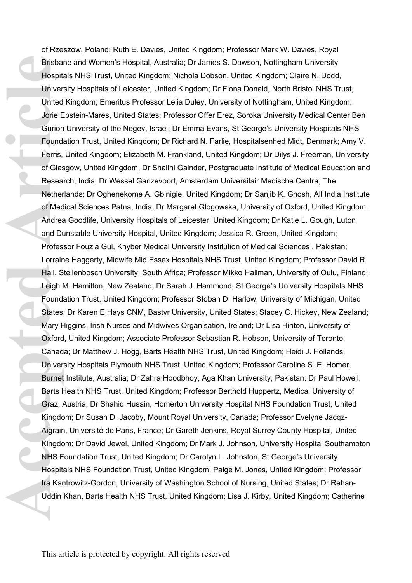of Rzeszow, Poland; Ruth E. Davies, United Kingdom; Professor Mark W. Davies, Royal Brisbane and Women's Hospital, Australia; Dr James S. Dawson, Nottingham University Hospitals NHS Trust, United Kingdom; Nichola Dobson, United Kingdom; Claire N. Dodd, University Hospitals of Leicester, United Kingdom; Dr Fiona Donald, North Bristol NHS Trust, United Kingdom; Emeritus Professor Lelia Duley, University of Nottingham, United Kingdom; Jorie Epstein-Mares, United States; Professor Offer Erez, Soroka University Medical Center Ben Gurion University of the Negev, Israel; Dr Emma Evans, St George's University Hospitals NHS Foundation Trust, United Kingdom; Dr Richard N. Farlie, Hospitalsenhed Midt, Denmark; Amy V. Ferris, United Kingdom; Elizabeth M. Frankland, United Kingdom; Dr Dilys J. Freeman, University of Glasgow, United Kingdom; Dr Shalini Gainder, Postgraduate Institute of Medical Education and Research, India; Dr Wessel Ganzevoort, Amsterdam Universitair Medische Centra, The Netherlands; Dr Oghenekome A. Gbinigie, United Kingdom; Dr Sanjib K. Ghosh, All India Institute of Medical Sciences Patna, India; Dr Margaret Glogowska, University of Oxford, United Kingdom; Andrea Goodlife, University Hospitals of Leicester, United Kingdom; Dr Katie L. Gough, Luton and Dunstable University Hospital, United Kingdom; Jessica R. Green, United Kingdom; Professor Fouzia Gul, Khyber Medical University Institution of Medical Sciences , Pakistan; Lorraine Haggerty, Midwife Mid Essex Hospitals NHS Trust, United Kingdom; Professor David R. Hall, Stellenbosch University, South Africa; Professor Mikko Hallman, University of Oulu, Finland; Leigh M. Hamilton, New Zealand; Dr Sarah J. Hammond, St George's University Hospitals NHS Foundation Trust, United Kingdom; Professor SIoban D. Harlow, University of Michigan, United States; Dr Karen E.Hays CNM, Bastyr University, United States; Stacey C. Hickey, New Zealand; Mary Higgins, Irish Nurses and Midwives Organisation, Ireland; Dr Lisa Hinton, University of Oxford, United Kingdom; Associate Professor Sebastian R. Hobson, University of Toronto, Canada; Dr Matthew J. Hogg, Barts Health NHS Trust, United Kingdom; Heidi J. Hollands, University Hospitals Plymouth NHS Trust, United Kingdom; Professor Caroline S. E. Homer, Burnet Institute, Australia; Dr Zahra Hoodbhoy, Aga Khan University, Pakistan; Dr Paul Howell, Barts Health NHS Trust, United Kingdom; Professor Berthold Huppertz, Medical University of Graz, Austria; Dr Shahid Husain, Homerton University Hospital NHS Foundation Trust, United Kingdom; Dr Susan D. Jacoby, Mount Royal University, Canada; Professor Evelyne Jacqz-Aigrain, Université de Paris, France; Dr Gareth Jenkins, Royal Surrey County Hospital, United Kingdom; Dr David Jewel, United Kingdom; Dr Mark J. Johnson, University Hospital Southampton NHS Foundation Trust, United Kingdom; Dr Carolyn L. Johnston, St George's University Hospitals NHS Foundation Trust, United Kingdom; Paige M. Jones, United Kingdom; Professor Ira Kantrowitz-Gordon, University of Washington School of Nursing, United States; Dr Rehan-Uddin Khan, Barts Health NHS Trust, United Kingdom; Lisa J. Kirby, United Kingdom; Catherine Brisba<br>
Hospit<br>
Univer<br>
United<br>
Jorie E<br>
Gurion<br>
Ferris,<br>
of Glas<br>
Resea<br>
Nether<br>
of Mec<br>
Andrea<br>
and Du<br>
Profes<br>
Lorrair<br>
Hall, S<br>
Leigh I<br>
Found<br>
States<br>
Mary F<br>
Oxford<br>
Canad<br>
Univer<br>
Burnet<br>
Burnet<br>
Barts H<br>
Graz,<br>
Aig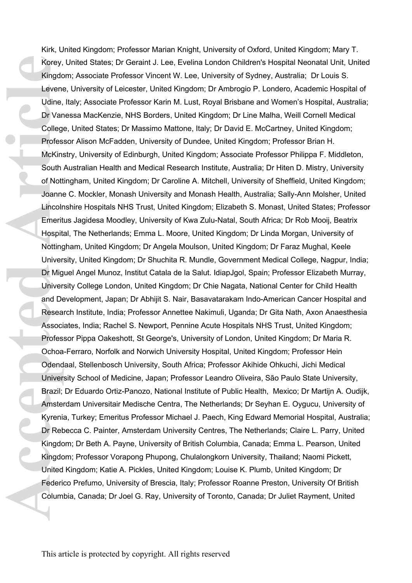Kirk, United Kingdom; Professor Marian Knight, University of Oxford, United Kingdom; Mary T. Korey, United States; Dr Geraint J. Lee, Evelina London Children's Hospital Neonatal Unit, United Kingdom; Associate Professor Vincent W. Lee, University of Sydney, Australia; Dr Louis S. Levene, University of Leicester, United Kingdom; Dr Ambrogio P. Londero, Academic Hospital of Udine, Italy; Associate Professor Karin M. Lust, Royal Brisbane and Women's Hospital, Australia; Dr Vanessa MacKenzie, NHS Borders, United Kingdom; Dr Line Malha, Weill Cornell Medical College, United States; Dr Massimo Mattone, Italy; Dr David E. McCartney, United Kingdom; Professor Alison McFadden, University of Dundee, United Kingdom; Professor Brian H. McKinstry, University of Edinburgh, United Kingdom; Associate Professor Philippa F. Middleton, South Australian Health and Medical Research Institute, Australia; Dr Hiten D. Mistry, University of Nottingham, United Kingdom; Dr Caroline A. Mitchell, University of Sheffield, United Kingdom; Joanne C. Mockler, Monash University and Monash Health, Australia; Sally-Ann Molsher, United Lincolnshire Hospitals NHS Trust, United Kingdom; Elizabeth S. Monast, United States; Professor Emeritus Jagidesa Moodley, University of Kwa Zulu-Natal, South Africa; Dr Rob Mooij, Beatrix Hospital, The Netherlands; Emma L. Moore, United Kingdom; Dr Linda Morgan, University of Nottingham, United Kingdom; Dr Angela Moulson, United Kingdom; Dr Faraz Mughal, Keele University, United Kingdom; Dr Shuchita R. Mundle, Government Medical College, Nagpur, India; Dr Miguel Angel Munoz, Institut Catala de la Salut. IdiapJgol, Spain; Professor Elizabeth Murray, University College London, United Kingdom; Dr Chie Nagata, National Center for Child Health and Development, Japan; Dr Abhijit S. Nair, Basavatarakam Indo-American Cancer Hospital and Research Institute, India; Professor Annettee Nakimuli, Uganda; Dr Gita Nath, Axon Anaesthesia Associates, India; Rachel S. Newport, Pennine Acute Hospitals NHS Trust, United Kingdom; Professor Pippa Oakeshott, St George's, University of London, United Kingdom; Dr Maria R. Ochoa-Ferraro, Norfolk and Norwich University Hospital, United Kingdom; Professor Hein Odendaal, Stellenbosch University, South Africa; Professor Akihide Ohkuchi, Jichi Medical University School of Medicine, Japan; Professor Leandro Oliveira, São Paulo State University, Brazil; Dr Eduardo Ortiz-Panozo, National Institute of Public Health, Mexico; Dr Martijn A. Oudijk, Amsterdam Universitair Medische Centra, The Netherlands; Dr Seyhan E. Oygucu, University of Kyrenia, Turkey; Emeritus Professor Michael J. Paech, King Edward Memorial Hospital, Australia; Dr Rebecca C. Painter, Amsterdam University Centres, The Netherlands; Claire L. Parry, United Kingdom; Dr Beth A. Payne, University of British Columbia, Canada; Emma L. Pearson, United Kingdom; Professor Vorapong Phupong, Chulalongkorn University, Thailand; Naomi Pickett, United Kingdom; Katie A. Pickles, United Kingdom; Louise K. Plumb, United Kingdom; Dr Federico Prefumo, University of Brescia, Italy; Professor Roanne Preston, University Of British Columbia, Canada; Dr Joel G. Ray, University of Toronto, Canada; Dr Juliet Rayment, United Korey,<br>
Kingda<br>
Levent<br>
Udine,<br>
Dr Var<br>
Colleg<br>
Profes<br>
McKin:<br>
South<br>
of Nott<br>
Joanna Lincolr<br>
Emerit<br>
Hospit<br>
Notting<br>
Univer<br>
Dr Mig<br>
Univer<br>
Dr Mig<br>
Univer<br>
Dr Mig<br>
Univer<br>
Profes<br>
Ochoa<br>
Odend<br>
Univer<br>
Brazil;<br>
Amste<br>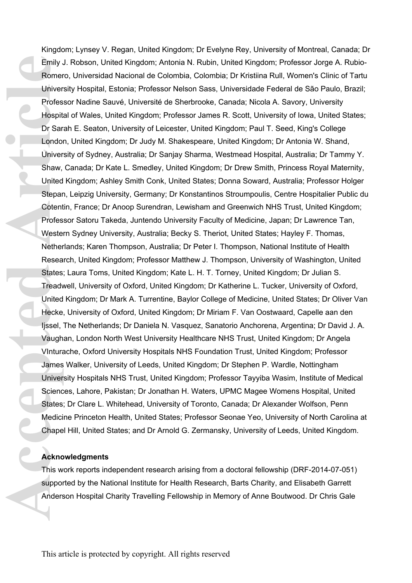Kingdom; Lynsey V. Regan, United Kingdom; Dr Evelyne Rey, University of Montreal, Canada; Dr Emily J. Robson, United Kingdom; Antonia N. Rubin, United Kingdom; Professor Jorge A. Rubio-Romero, Universidad Nacional de Colombia, Colombia; Dr Kristiina Rull, Women's Clinic of Tartu University Hospital, Estonia; Professor Nelson Sass, Universidade Federal de São Paulo, Brazil; Professor Nadine Sauvé, Université de Sherbrooke, Canada; Nicola A. Savory, University Hospital of Wales, United Kingdom; Professor James R. Scott, University of Iowa, United States; Dr Sarah E. Seaton, University of Leicester, United Kingdom; Paul T. Seed, King's College London, United Kingdom; Dr Judy M. Shakespeare, United Kingdom; Dr Antonia W. Shand, University of Sydney, Australia; Dr Sanjay Sharma, Westmead Hospital, Australia; Dr Tammy Y. Shaw, Canada; Dr Kate L. Smedley, United Kingdom; Dr Drew Smith, Princess Royal Maternity, United Kingdom; Ashley Smith Conk, United States; Donna Soward, Australia; Professor Holger Stepan, Leipzig University, Germany; Dr Konstantinos Stroumpoulis, Centre Hospitalier Public du Cotentin, France; Dr Anoop Surendran, Lewisham and Greenwich NHS Trust, United Kingdom; Professor Satoru Takeda, Juntendo University Faculty of Medicine, Japan; Dr Lawrence Tan, Western Sydney University, Australia; Becky S. Theriot, United States; Hayley F. Thomas, Netherlands; Karen Thompson, Australia; Dr Peter I. Thompson, National Institute of Health Research, United Kingdom; Professor Matthew J. Thompson, University of Washington, United States; Laura Toms, United Kingdom; Kate L. H. T. Torney, United Kingdom; Dr Julian S. Treadwell, University of Oxford, United Kingdom; Dr Katherine L. Tucker, University of Oxford, United Kingdom; Dr Mark A. Turrentine, Baylor College of Medicine, United States; Dr Oliver Van Hecke, University of Oxford, United Kingdom; Dr Miriam F. Van Oostwaard, Capelle aan den Ijssel, The Netherlands; Dr Daniela N. Vasquez, Sanatorio Anchorena, Argentina; Dr David J. A. Vaughan, London North West University Healthcare NHS Trust, United Kingdom; Dr Angela VInturache, Oxford University Hospitals NHS Foundation Trust, United Kingdom; Professor James Walker, University of Leeds, United Kingdom; Dr Stephen P. Wardle, Nottingham University Hospitals NHS Trust, United Kingdom; Professor Tayyiba Wasim, Institute of Medical Sciences, Lahore, Pakistan; Dr Jonathan H. Waters, UPMC Magee Womens Hospital, United States; Dr Clare L. Whitehead, University of Toronto, Canada; Dr Alexander Wolfson, Penn Medicine Princeton Health, United States; Professor Seonae Yeo, University of North Carolina at Chapel Hill, United States; and Dr Arnold G. Zermansky, University of Leeds, United Kingdom. Emily .<br>
Romer<br>
Univer<br>
Profes<br>
Hospit<br>
Dr Sar<br>
London<br>
Univer<br>
Shaw,<br>
United<br>
Stepar<br>
Cotent<br>
Profes<br>
Weste<br>
Nether<br>
Resea<br>
States<br>
Tready<br>
United<br>
Hecke<br>
Ijssel,<br>
Vaugh<br>
VIntura<br>
Junited<br>
Hecke<br>
Ijssel,<br>
Vaugh<br>
VIntura<br>

#### **Acknowledgments**

This work reports independent research arising from a doctoral fellowship (DRF-2014-07-051) supported by the National Institute for Health Research, Barts Charity, and Elisabeth Garrett Anderson Hospital Charity Travelling Fellowship in Memory of Anne Boutwood. Dr Chris Gale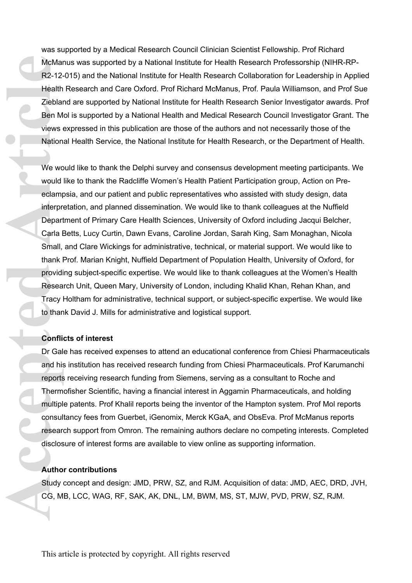was supported by a Medical Research Council Clinician Scientist Fellowship. Prof Richard McManus was supported by a National Institute for Health Research Professorship (NIHR-RP-R2-12-015) and the National Institute for Health Research Collaboration for Leadership in Applied Health Research and Care Oxford. Prof Richard McManus, Prof. Paula Williamson, and Prof Sue Ziebland are supported by National Institute for Health Research Senior Investigator awards. Prof Ben Mol is supported by a National Health and Medical Research Council Investigator Grant. The views expressed in this publication are those of the authors and not necessarily those of the National Health Service, the National Institute for Health Research, or the Department of Health.

We would like to thank the Delphi survey and consensus development meeting participants. We would like to thank the Radcliffe Women's Health Patient Participation group, Action on Preeclampsia, and our patient and public representatives who assisted with study design, data interpretation, and planned dissemination. We would like to thank colleagues at the Nuffield Department of Primary Care Health Sciences, University of Oxford including Jacqui Belcher, Carla Betts, Lucy Curtin, Dawn Evans, Caroline Jordan, Sarah King, Sam Monaghan, Nicola Small, and Clare Wickings for administrative, technical, or material support. We would like to thank Prof. Marian Knight, Nuffield Department of Population Health, University of Oxford, for providing subject-specific expertise. We would like to thank colleagues at the Women's Health Research Unit, Queen Mary, University of London, including Khalid Khan, Rehan Khan, and Tracy Holtham for administrative, technical support, or subject-specific expertise. We would like to thank David J. Mills for administrative and logistical support. McMar<br>
R2-12-<br>
Health<br>
Zieblar<br>
Ben M<br>
views<br>
Nation<br>
We wc<br>
Wation<br>
We wc<br>
Would<br>
eclamp<br>
interpr<br>
Depart<br>
Carla I Small,<br>
thank I<br>
providi<br>
Resea<br>
Tracy<br>
to than<br>
Confli<br>
Dr Gal<br>
and his<br>
report<br>
Therm<br>
multipl<br>
confli<br>

#### **Conflicts of interest**

Dr Gale has received expenses to attend an educational conference from Chiesi Pharmaceuticals and his institution has received research funding from Chiesi Pharmaceuticals. Prof Karumanchi reports receiving research funding from Siemens, serving as a consultant to Roche and Thermofisher Scientific, having a financial interest in Aggamin Pharmaceuticals, and holding multiple patents. Prof Khalil reports being the inventor of the Hampton system. Prof Mol reports consultancy fees from Guerbet, iGenomix, Merck KGaA, and ObsEva. Prof McManus reports research support from Omron. The remaining authors declare no competing interests. Completed disclosure of interest forms are available to view online as supporting information.

#### **Author contributions**

Study concept and design: JMD, PRW, SZ, and RJM. Acquisition of data: JMD, AEC, DRD, JVH, CG, MB, LCC, WAG, RF, SAK, AK, DNL, LM, BWM, MS, ST, MJW, PVD, PRW, SZ, RJM.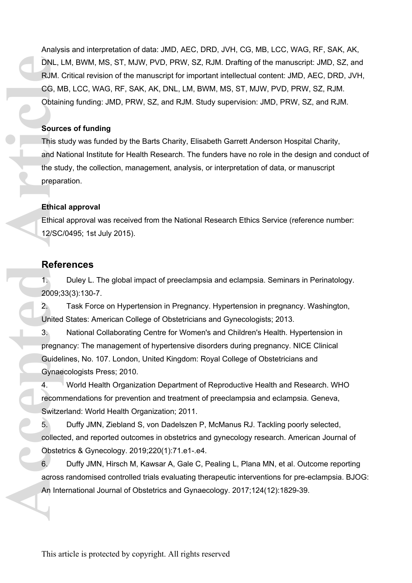Analysis and interpretation of data: JMD, AEC, DRD, JVH, CG, MB, LCC, WAG, RF, SAK, AK, DNL, LM, BWM, MS, ST, MJW, PVD, PRW, SZ, RJM. Drafting of the manuscript: JMD, SZ, and RJM. Critical revision of the manuscript for important intellectual content: JMD, AEC, DRD, JVH, CG, MB, LCC, WAG, RF, SAK, AK, DNL, LM, BWM, MS, ST, MJW, PVD, PRW, SZ, RJM. Obtaining funding: JMD, PRW, SZ, and RJM. Study supervision: JMD, PRW, SZ, and RJM.

#### **Sources of funding**

This study was funded by the Barts Charity, Elisabeth Garrett Anderson Hospital Charity, and National Institute for Health Research. The funders have no role in the design and conduct of the study, the collection, management, analysis, or interpretation of data, or manuscript preparation.

#### **Ethical approval**

Ethical approval was received from the National Research Ethics Service (reference number: 12/SC/0495; 1st July 2015).

# **References**

1. Duley L. The global impact of preeclampsia and eclampsia. Seminars in Perinatology. 2009;33(3):130-7.

2. Task Force on Hypertension in Pregnancy. Hypertension in pregnancy. Washington, United States: American College of Obstetricians and Gynecologists; 2013.

3. National Collaborating Centre for Women's and Children's Health. Hypertension in pregnancy: The management of hypertensive disorders during pregnancy. NICE Clinical Guidelines, No. 107. London, United Kingdom: Royal College of Obstetricians and Gynaecologists Press; 2010.

4. World Health Organization Department of Reproductive Health and Research. WHO recommendations for prevention and treatment of preeclampsia and eclampsia. Geneva, Switzerland: World Health Organization; 2011.

5. Duffy JMN, Ziebland S, von Dadelszen P, McManus RJ. Tackling poorly selected, collected, and reported outcomes in obstetrics and gynecology research. American Journal of Obstetrics & Gynecology. 2019;220(1):71.e1-.e4.

6. Duffy JMN, Hirsch M, Kawsar A, Gale C, Pealing L, Plana MN, et al. Outcome reporting across randomised controlled trials evaluating therapeutic interventions for pre-eclampsia. BJOG: An International Journal of Obstetrics and Gynaecology. 2017;124(12):1829-39.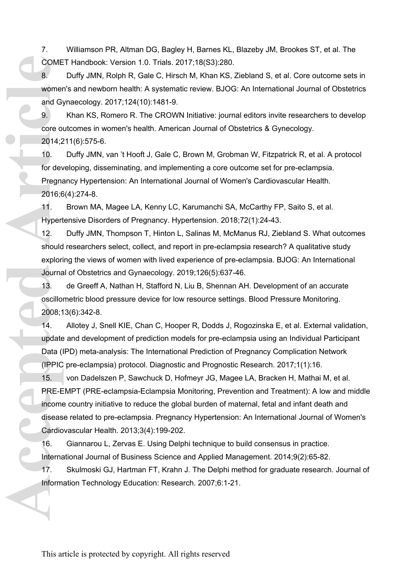7. Williamson PR, Altman DG, Bagley H, Barnes KL, Blazeby JM, Brookes ST, et al. The COMET Handbook: Version 1.0. Trials. 2017;18(S3):280.

8. Duffy JMN, Rolph R, Gale C, Hirsch M, Khan KS, Ziebland S, et al. Core outcome sets in women's and newborn health: A systematic review. BJOG: An International Journal of Obstetrics and Gynaecology. 2017;124(10):1481-9.

9. Khan KS, Romero R. The CROWN Initiative: journal editors invite researchers to develop core outcomes in women's health. American Journal of Obstetrics & Gynecology. 2014;211(6):575-6.

10. Duffy JMN, van 't Hooft J, Gale C, Brown M, Grobman W, Fitzpatrick R, et al. A protocol for developing, disseminating, and implementing a core outcome set for pre-eclampsia. Pregnancy Hypertension: An International Journal of Women's Cardiovascular Health. 2016;6(4):274-8.

11. Brown MA, Magee LA, Kenny LC, Karumanchi SA, McCarthy FP, Saito S, et al. Hypertensive Disorders of Pregnancy. Hypertension. 2018;72(1):24-43.

12. Duffy JMN, Thompson T, Hinton L, Salinas M, McManus RJ, Ziebland S. What outcomes should researchers select, collect, and report in pre-eclampsia research? A qualitative study exploring the views of women with lived experience of pre-eclampsia. BJOG: An International Journal of Obstetrics and Gynaecology. 2019;126(5):637-46.

13. de Greeff A, Nathan H, Stafford N, Liu B, Shennan AH. Development of an accurate oscillometric blood pressure device for low resource settings. Blood Pressure Monitoring. 2008;13(6):342-8.

14. Allotey J, Snell KIE, Chan C, Hooper R, Dodds J, Rogozinska E, et al. External validation, update and development of prediction models for pre-eclampsia using an Individual Participant Data (IPD) meta-analysis: The International Prediction of Pregnancy Complication Network (IPPIC pre-eclampsia) protocol. Diagnostic and Prognostic Research. 2017;1(1):16.

15. von Dadelszen P, Sawchuck D, Hofmeyr JG, Magee LA, Bracken H, Mathai M, et al. PRE-EMPT (PRE-eclampsia-Eclampsia Monitoring, Prevention and Treatment): A low and middle income country initiative to reduce the global burden of maternal, fetal and infant death and disease related to pre-eclampsia. Pregnancy Hypertension: An International Journal of Women's Cardiovascular Health. 2013;3(4):199-202. COME<br>
8. womer<br>
and G<sub>1</sub><br>
9. core of<br>
2014;2<br>
10. for dev<br>
Pregna<br>
2016;6<br>
11. Hypert<br>
12. should<br>
explori<br>
Journa<br>
13. oscillor<br>
2008;1<br>
14. update<br>
Data (I<br>
(IPPIC<br>
15. E-E licome<br>
diseas<br>
Cardio<br>
16. Interna<br>
17. Inform

16. Giannarou L, Zervas E. Using Delphi technique to build consensus in practice. International Journal of Business Science and Applied Management. 2014;9(2):65-82.

17. Skulmoski GJ, Hartman FT, Krahn J. The Delphi method for graduate research. Journal of Information Technology Education: Research. 2007;6:1-21.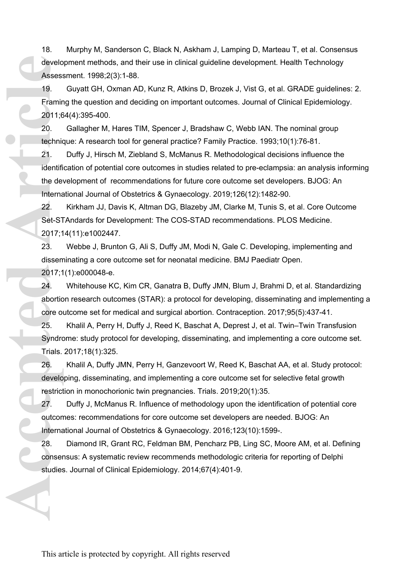18. Murphy M, Sanderson C, Black N, Askham J, Lamping D, Marteau T, et al. Consensus development methods, and their use in clinical guideline development. Health Technology Assessment. 1998;2(3):1-88.

19. Guyatt GH, Oxman AD, Kunz R, Atkins D, Brozek J, Vist G, et al. GRADE guidelines: 2. Framing the question and deciding on important outcomes. Journal of Clinical Epidemiology. 2011;64(4):395-400.

20. Gallagher M, Hares TIM, Spencer J, Bradshaw C, Webb IAN. The nominal group technique: A research tool for general practice? Family Practice. 1993;10(1):76-81.

21. Duffy J, Hirsch M, Ziebland S, McManus R. Methodological decisions influence the identification of potential core outcomes in studies related to pre-eclampsia: an analysis informing the development of recommendations for future core outcome set developers. BJOG: An International Journal of Obstetrics & Gynaecology. 2019;126(12):1482-90. develo<br>Asses:<br>19.<br>Framir<br>2011;6<br>20.<br>Lechnic<br>21.<br>Identifi the develo<br>Internation and Supervice Core of<br>25.<br>Syndry Trials.<br>26.<br>Syndry Trials.<br>26.<br>Gevelo restrict Core of<br>Passer<br>2017;1<br>24.<br>Abortic Core of<br>25.<br>Trials.<br>26.<br>Inte

22. Kirkham JJ, Davis K, Altman DG, Blazeby JM, Clarke M, Tunis S, et al. Core Outcome Set-STAndards for Development: The COS-STAD recommendations. PLOS Medicine. 2017;14(11):e1002447.

23. Webbe J, Brunton G, Ali S, Duffy JM, Modi N, Gale C. Developing, implementing and disseminating a core outcome set for neonatal medicine. BMJ Paediatr Open. 2017;1(1):e000048-e.

24. Whitehouse KC, Kim CR, Ganatra B, Duffy JMN, Blum J, Brahmi D, et al. Standardizing abortion research outcomes (STAR): a protocol for developing, disseminating and implementing a core outcome set for medical and surgical abortion. Contraception. 2017;95(5):437-41.

25. Khalil A, Perry H, Duffy J, Reed K, Baschat A, Deprest J, et al. Twin–Twin Transfusion Syndrome: study protocol for developing, disseminating, and implementing a core outcome set. Trials. 2017;18(1):325.

26. Khalil A, Duffy JMN, Perry H, Ganzevoort W, Reed K, Baschat AA, et al. Study protocol: developing, disseminating, and implementing a core outcome set for selective fetal growth restriction in monochorionic twin pregnancies. Trials. 2019;20(1):35.

27. Duffy J, McManus R. Influence of methodology upon the identification of potential core outcomes: recommendations for core outcome set developers are needed. BJOG: An International Journal of Obstetrics & Gynaecology. 2016;123(10):1599-.

28. Diamond IR, Grant RC, Feldman BM, Pencharz PB, Ling SC, Moore AM, et al. Defining consensus: A systematic review recommends methodologic criteria for reporting of Delphi studies. Journal of Clinical Epidemiology. 2014;67(4):401-9.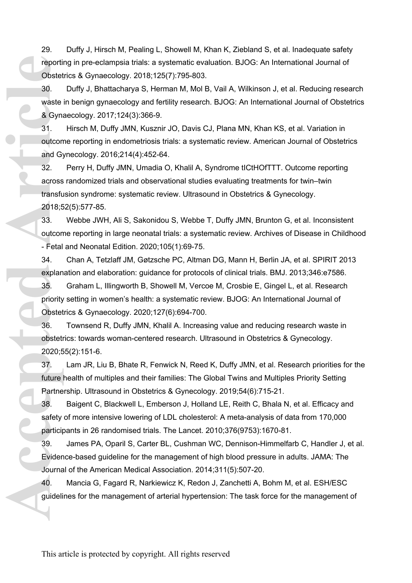29. Duffy J, Hirsch M, Pealing L, Showell M, Khan K, Ziebland S, et al. Inadequate safety reporting in pre-eclampsia trials: a systematic evaluation. BJOG: An International Journal of Obstetrics & Gynaecology. 2018;125(7):795-803.

30. Duffy J, Bhattacharya S, Herman M, Mol B, Vail A, Wilkinson J, et al. Reducing research waste in benign gynaecology and fertility research. BJOG: An International Journal of Obstetrics & Gynaecology. 2017;124(3):366-9.

31. Hirsch M, Duffy JMN, Kusznir JO, Davis CJ, Plana MN, Khan KS, et al. Variation in outcome reporting in endometriosis trials: a systematic review. American Journal of Obstetrics and Gynecology. 2016;214(4):452-64.

32. Perry H, Duffy JMN, Umadia O, Khalil A, Syndrome tICtHOfTTT. Outcome reporting across randomized trials and observational studies evaluating treatments for twin–twin transfusion syndrome: systematic review. Ultrasound in Obstetrics & Gynecology. 2018;52(5):577-85. reporti<br>
Obstet<br>
30.<br>
waste<br>
& Gyn:<br>
31.<br>
outcon<br>
and G<sub>1</sub><br>
32.<br>
across<br>
transfu<br>
2018;5<br>
33.<br>
outcon<br>
- Fetal<br>
34.<br>
explan<br>
35.<br>
priority<br>
Obstet<br>
36.<br>
priority<br>
Obstet<br>
2020;5<br>
future<br>
Partne<br>
2020;5<br>
future<br>
Partne<br>
38.

33. Webbe JWH, Ali S, Sakonidou S, Webbe T, Duffy JMN, Brunton G, et al. Inconsistent outcome reporting in large neonatal trials: a systematic review. Archives of Disease in Childhood - Fetal and Neonatal Edition. 2020;105(1):69-75.

34. Chan A, Tetzlaff JM, Gøtzsche PC, Altman DG, Mann H, Berlin JA, et al. SPIRIT 2013 explanation and elaboration: guidance for protocols of clinical trials. BMJ. 2013;346:e7586.

35. Graham L, Illingworth B, Showell M, Vercoe M, Crosbie E, Gingel L, et al. Research priority setting in women's health: a systematic review. BJOG: An International Journal of Obstetrics & Gynaecology. 2020;127(6):694-700.

36. Townsend R, Duffy JMN, Khalil A. Increasing value and reducing research waste in obstetrics: towards woman-centered research. Ultrasound in Obstetrics & Gynecology. 2020;55(2):151-6.

37. Lam JR, Liu B, Bhate R, Fenwick N, Reed K, Duffy JMN, et al. Research priorities for the future health of multiples and their families: The Global Twins and Multiples Priority Setting Partnership. Ultrasound in Obstetrics & Gynecology. 2019;54(6):715-21.

38. Baigent C, Blackwell L, Emberson J, Holland LE, Reith C, Bhala N, et al. Efficacy and safety of more intensive lowering of LDL cholesterol: A meta-analysis of data from 170,000 participants in 26 randomised trials. The Lancet. 2010;376(9753):1670-81.

39. James PA, Oparil S, Carter BL, Cushman WC, Dennison-Himmelfarb C, Handler J, et al. Evidence-based guideline for the management of high blood pressure in adults. JAMA: The Journal of the American Medical Association. 2014;311(5):507-20.

40. Mancia G, Fagard R, Narkiewicz K, Redon J, Zanchetti A, Bohm M, et al. ESH/ESC guidelines for the management of arterial hypertension: The task force for the management of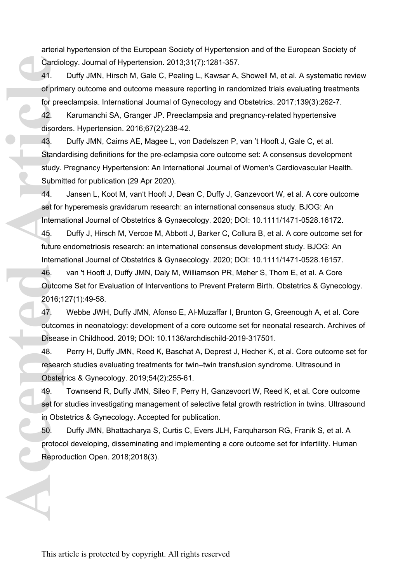arterial hypertension of the European Society of Hypertension and of the European Society of Cardiology. Journal of Hypertension. 2013;31(7):1281-357.

41. Duffy JMN, Hirsch M, Gale C, Pealing L, Kawsar A, Showell M, et al. A systematic review of primary outcome and outcome measure reporting in randomized trials evaluating treatments for preeclampsia. International Journal of Gynecology and Obstetrics. 2017;139(3):262-7.

42. Karumanchi SA, Granger JP. Preeclampsia and pregnancy-related hypertensive disorders. Hypertension. 2016;67(2):238-42.

43. Duffy JMN, Cairns AE, Magee L, von Dadelszen P, van 't Hooft J, Gale C, et al. Standardising definitions for the pre-eclampsia core outcome set: A consensus development study. Pregnancy Hypertension: An International Journal of Women's Cardiovascular Health. Submitted for publication (29 Apr 2020). Cardio<br>
41. of prim<br>
for pre<br>
42. disorde<br>
43. Standa<br>
study. Submi<br>
44. set for<br>
145. future<br>
145. future<br>
145. future<br>
145. future<br>
147. auton<br>
2016;1<br>
47. auton<br>
Diseas<br>
48. resear<br>
Obstet<br>
49. set for<br>
in Obs<br>
50. prot

44. Jansen L, Koot M, van't Hooft J, Dean C, Duffy J, Ganzevoort W, et al. A core outcome set for hyperemesis gravidarum research: an international consensus study. BJOG: An International Journal of Obstetrics & Gynaecology. 2020; DOI: 10.1111/1471-0528.16172.

45. Duffy J, Hirsch M, Vercoe M, Abbott J, Barker C, Collura B, et al. A core outcome set for future endometriosis research: an international consensus development study. BJOG: An International Journal of Obstetrics & Gynaecology. 2020; DOI: 10.1111/1471-0528.16157.

46. van 't Hooft J, Duffy JMN, Daly M, Williamson PR, Meher S, Thom E, et al. A Core Outcome Set for Evaluation of Interventions to Prevent Preterm Birth. Obstetrics & Gynecology. 2016;127(1):49-58.

47. Webbe JWH, Duffy JMN, Afonso E, Al-Muzaffar I, Brunton G, Greenough A, et al. Core outcomes in neonatology: development of a core outcome set for neonatal research. Archives of Disease in Childhood. 2019; DOI: 10.1136/archdischild-2019-317501.

48. Perry H, Duffy JMN, Reed K, Baschat A, Deprest J, Hecher K, et al. Core outcome set for research studies evaluating treatments for twin–twin transfusion syndrome. Ultrasound in Obstetrics & Gynecology. 2019;54(2):255-61.

49. Townsend R, Duffy JMN, Sileo F, Perry H, Ganzevoort W, Reed K, et al. Core outcome set for studies investigating management of selective fetal growth restriction in twins. Ultrasound in Obstetrics & Gynecology. Accepted for publication.

50. Duffy JMN, Bhattacharya S, Curtis C, Evers JLH, Farquharson RG, Franik S, et al. A protocol developing, disseminating and implementing a core outcome set for infertility. Human Reproduction Open. 2018;2018(3).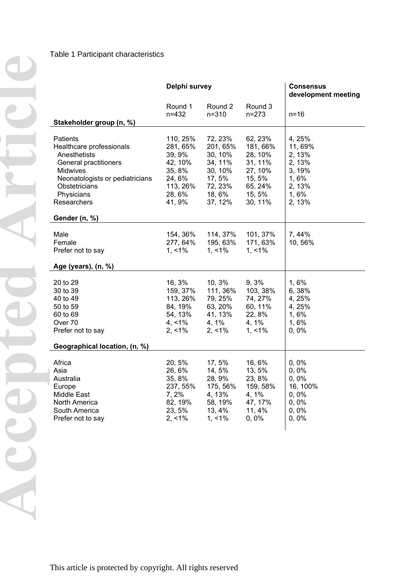# Table 1 Participant characteristics

|                                                                                                                                                                            | Delphi survey                                                                                |                                                                                               |                                                                                                | <b>Consensus</b><br>development meeting                                            |
|----------------------------------------------------------------------------------------------------------------------------------------------------------------------------|----------------------------------------------------------------------------------------------|-----------------------------------------------------------------------------------------------|------------------------------------------------------------------------------------------------|------------------------------------------------------------------------------------|
| Stakeholder group (n, %)                                                                                                                                                   | Round 1<br>$n = 432$                                                                         | Round 2<br>$n = 310$                                                                          | Round 3<br>$n = 273$                                                                           | $n=16$                                                                             |
| Patients<br>Healthcare professionals<br>Anesthetists<br>General practitioners<br>Midwives<br>Neonatologists or pediatricians<br>Obstetricians<br>Physicians<br>Researchers | 110, 25%<br>281, 65%<br>39, 9%<br>42, 10%<br>35, 8%<br>24, 6%<br>113, 26%<br>28,6%<br>41, 9% | 72, 23%<br>201, 65%<br>30, 10%<br>34, 11%<br>30, 10%<br>17,5%<br>72, 23%<br>18, 6%<br>37, 12% | 62, 23%<br>181, 66%<br>28, 10%<br>31, 11%<br>27, 10%<br>15, 5%<br>65, 24%<br>15, 5%<br>30, 11% | 4, 25%<br>11,69%<br>2, 13%<br>2, 13%<br>3, 19%<br>1,6%<br>2, 13%<br>1,6%<br>2, 13% |
| Gender (n, %)<br>Male<br>Female<br>Prefer not to say<br>Age (years), (n, %)                                                                                                | 154, 36%<br>277, 64%<br>$1, 1\%$                                                             | 114, 37%<br>195, 63%<br>$1, 1\%$                                                              | 101, 37%<br>171, 63%<br>$1, 1\%$                                                               | 7,44%<br>10,56%                                                                    |
| 20 to 29<br>30 to 39<br>40 to 49<br>50 to 59<br>60 to 69<br>Over 70<br>Prefer not to say<br>Geographical location, (n, %)                                                  | 16, 3%<br>159, 37%<br>113, 26%<br>84, 19%<br>54, 13%<br>$4, 1\%$<br>$2, 1\%$                 | 10, 3%<br>111, 36%<br>79, 25%<br>63, 20%<br>41, 13%<br>4, 1%<br>$2, < 1\%$                    | 9, 3%<br>103, 38%<br>74, 27%<br>60, 11%<br>22, 8%<br>4, 1%<br>$1, 1\%$                         | 1,6%<br>6,38%<br>4, 25%<br>4, 25%<br>1,6%<br>1,6%<br>0,0%                          |
| Africa<br>Asia<br>Australia<br>Europe<br>Middle East<br>North America<br>South America<br>Prefer not to say                                                                | 20, 5%<br>26, 6%<br>35, 8%<br>237, 55%<br>7, 2%<br>82, 19%<br>23, 5%<br>$2, 1\%$             | 17, 5%<br>14, 5%<br>28, 9%<br>175, 56%<br>4, 13%<br>58, 19%<br>13, 4%<br>$1, 1\%$             | 16,6%<br>13, 5%<br>23, 8%<br>159, 58%<br>4, 1%<br>47, 17%<br>11, 4%<br>$0, 0\%$                | 0,0%<br>0,0%<br>0,0%<br>16, 100%<br>0,0%<br>0,0%<br>0,0%<br>0,0%                   |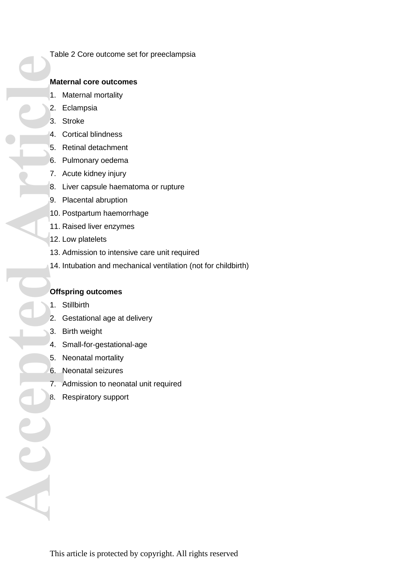Table 2 Core outcome set for preeclampsia

# **Maternal core outcomes Material Material Articles Article**<br> **Accepted Articles Articles Articles Articles Articles Articles Articles Articles Articles Articles Articles Articles Articles Articles Articles Articles Articles Articles Articles Art**

- 1. Maternal mortality
- 2. Eclampsia
- 3. Stroke
- 4. Cortical blindness
- 5. Retinal detachment
- 6. Pulmonary oedema
- 7. Acute kidney injury
- 8. Liver capsule haematoma or rupture
- 9. Placental abruption
- 10. Postpartum haemorrhage
- 11. Raised liver enzymes
- 12. Low platelets
- 13. Admission to intensive care unit required
- 14. Intubation and mechanical ventilation (not for childbirth)

#### **Offspring outcomes**

- 1. Stillbirth
- 2. Gestational age at delivery
- 3. Birth weight

- 4. Small-for-gestational-age
- 5. Neonatal mortality
- 6. Neonatal seizures
- 7. Admission to neonatal unit required
- 8. Respiratory support